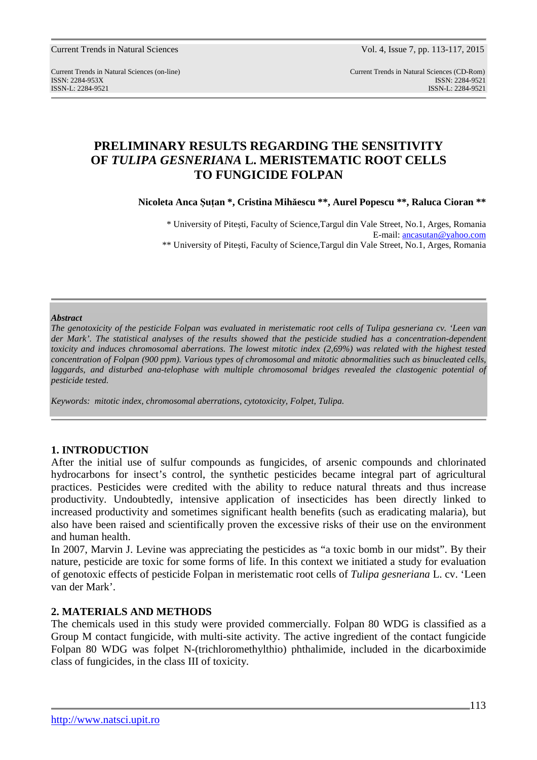Current Trends in Natural Sciences Vol. 4, Issue 7, pp. 113-117, 2015

Current Trends in Natural Sciences (on-line) Current Trends in Natural Sciences (CD-Rom) ISSN: 2284-953XISSN: 2284-9521 ISSN-L: 2284-9521 ISSN-L: 2284-9521

# **PRELIMINARY RESULTS REGARDING THE SENSITIVITY OF** *TULIPA GESNERIANA* **L. MERISTEMATIC ROOT CELLS TO FUNGICIDE FOLPAN**

**Nicoleta Anca Şuţan \*, Cristina Mihăescu \*\*, Aurel Popescu \*\*, Raluca Cioran \*\*** 

\* University of Piteşti, Faculty of Science,Targul din Vale Street*,* No.1, Arges, Romania E-mail: ancasutan@yahoo.com \*\* University of Piteşti, Faculty of Science,Targul din Vale Street*,* No.1, Arges, Romania

#### *Abstract*

*The genotoxicity of the pesticide Folpan was evaluated in meristematic root cells of Tulipa gesneriana cv. 'Leen van*  der Mark'. The statistical analyses of the results showed that the pesticide studied has a concentration-dependent *toxicity and induces chromosomal aberrations. The lowest mitotic index (2,69%) was related with the highest tested concentration of Folpan (900 ppm). Various types of chromosomal and mitotic abnormalities such as binucleated cells, laggards, and disturbed ana-telophase with multiple chromosomal bridges revealed the clastogenic potential of pesticide tested.* 

*Keywords: mitotic index, chromosomal aberrations, cytotoxicity, Folpet, Tulipa.* 

## **1. INTRODUCTION**

After the initial use of sulfur compounds as fungicides, of arsenic compounds and chlorinated hydrocarbons for insect's control, the synthetic pesticides became integral part of agricultural practices. Pesticides were credited with the ability to reduce natural threats and thus increase productivity. Undoubtedly, intensive application of insecticides has been directly linked to increased productivity and sometimes significant health benefits (such as eradicating malaria), but also have been raised and scientifically proven the excessive risks of their use on the environment and human health.

In 2007, Marvin J. Levine was appreciating the pesticides as "a toxic bomb in our midst". By their nature, pesticide are toxic for some forms of life. In this context we initiated a study for evaluation of genotoxic effects of pesticide Folpan in meristematic root cells of *Tulipa gesneriana* L. cv. 'Leen van der Mark'.

## **2. MATERIALS AND METHODS**

The chemicals used in this study were provided commercially. Folpan 80 WDG is classified as a Group M contact fungicide, with multi-site activity. The active ingredient of the contact fungicide Folpan 80 WDG was folpet N-(trichloromethylthio) phthalimide, included in the dicarboximide class of fungicides, in the class III of toxicity.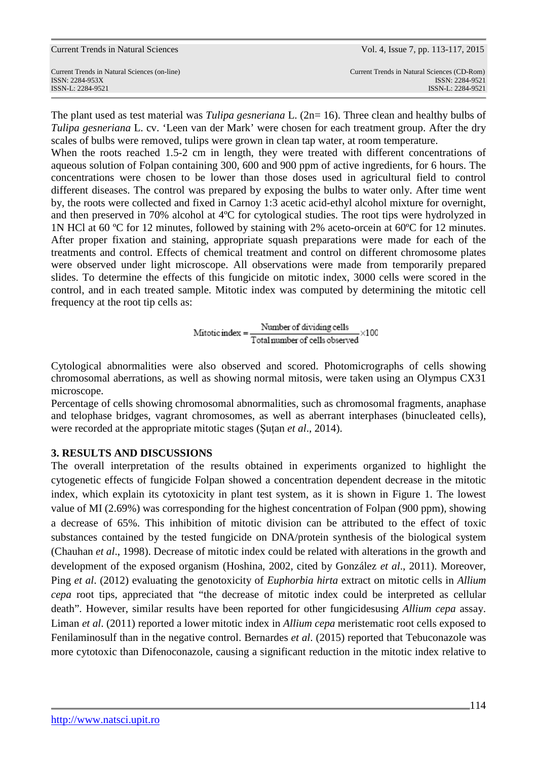Current Trends in Natural Sciences Vol. 4, Issue 7, pp. 113-117, 2015

The plant used as test material was *Tulipa gesneriana* L. (2n= 16). Three clean and healthy bulbs of *Tulipa gesneriana* L. cv. 'Leen van der Mark' were chosen for each treatment group. After the dry scales of bulbs were removed, tulips were grown in clean tap water, at room temperature.

When the roots reached 1.5-2 cm in length, they were treated with different concentrations of aqueous solution of Folpan containing 300, 600 and 900 ppm of active ingredients, for 6 hours. The concentrations were chosen to be lower than those doses used in agricultural field to control different diseases. The control was prepared by exposing the bulbs to water only. After time went by, the roots were collected and fixed in Carnoy 1:3 acetic acid-ethyl alcohol mixture for overnight, and then preserved in 70% alcohol at 4ºC for cytological studies. The root tips were hydrolyzed in 1N HCl at 60 ºC for 12 minutes, followed by staining with 2% aceto-orcein at 60ºC for 12 minutes. After proper fixation and staining, appropriate squash preparations were made for each of the treatments and control. Effects of chemical treatment and control on different chromosome plates were observed under light microscope. All observations were made from temporarily prepared slides. To determine the effects of this fungicide on mitotic index, 3000 cells were scored in the control, and in each treated sample. Mitotic index was computed by determining the mitotic cell frequency at the root tip cells as:

$$
Mitotic index = \frac{Number of dividing cells}{Total number of cells observed} \times 100
$$

Cytological abnormalities were also observed and scored. Photomicrographs of cells showing chromosomal aberrations, as well as showing normal mitosis, were taken using an Olympus CX31 microscope.

Percentage of cells showing chromosomal abnormalities, such as chromosomal fragments, anaphase and telophase bridges, vagrant chromosomes, as well as aberrant interphases (binucleated cells), were recorded at the appropriate mitotic stages (Şuţan *et al*., 2014).

## **3. RESULTS AND DISCUSSIONS**

The overall interpretation of the results obtained in experiments organized to highlight the cytogenetic effects of fungicide Folpan showed a concentration dependent decrease in the mitotic index, which explain its cytotoxicity in plant test system, as it is shown in Figure 1. The lowest value of MI (2.69%) was corresponding for the highest concentration of Folpan (900 ppm), showing a decrease of 65%. This inhibition of mitotic division can be attributed to the effect of toxic substances contained by the tested fungicide on DNA/protein synthesis of the biological system (Chauhan *et al*., 1998). Decrease of mitotic index could be related with alterations in the growth and development of the exposed organism (Hoshina, 2002, cited by González *et al*., 2011). Moreover, Ping *et al*. (2012) evaluating the genotoxicity of *Euphorbia hirta* extract on mitotic cells in *Allium cepa* root tips, appreciated that "the decrease of mitotic index could be interpreted as cellular death". However, similar results have been reported for other fungicidesusing *Allium cepa* assay. Liman *et al*. (2011) reported a lower mitotic index in *Allium cepa* meristematic root cells exposed to Fenilaminosulf than in the negative control. Bernardes *et al*. (2015) reported that Tebuconazole was more cytotoxic than Difenoconazole, causing a significant reduction in the mitotic index relative to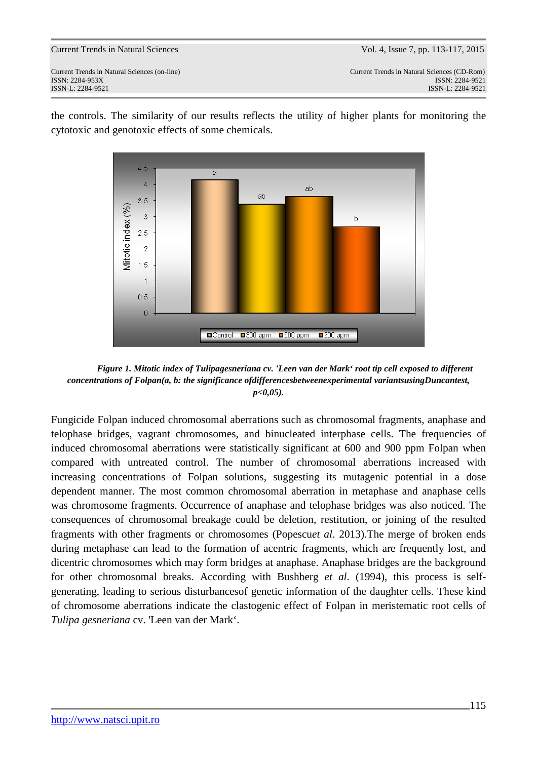Current Trends in Natural Sciences (on-line) Current Trends in Natural Sciences (CD-Rom) ISSN: 2284-953XISSN: 2284-9521 ISSN-L: 2284-9521 ISSN-L: 2284-9521

> $4<sup>5</sup>$  $\overline{a}$  $\overline{4}$  $ab$  $\mathsf{a}$ h 3.5 Alitotic index (%)  $\bar{3}$  $\mathbf b$  $2.5$  $\overline{2}$  $15$  $\overline{1}$  $0.5$  $\overline{a}$ ■Control ■300 ppm ■600 ppm  $\blacksquare$ 900 ppm

the controls. The similarity of our results reflects the utility of higher plants for monitoring the cytotoxic and genotoxic effects of some chemicals.

*Figure 1. Mitotic index of Tulipagesneriana cv. 'Leen van der Mark' root tip cell exposed to different concentrations of Folpan(a, b: the significance ofdifferencesbetweenexperimental variantsusingDuncantest, p<0,05).* 

Fungicide Folpan induced chromosomal aberrations such as chromosomal fragments, anaphase and telophase bridges, vagrant chromosomes, and binucleated interphase cells. The frequencies of induced chromosomal aberrations were statistically significant at 600 and 900 ppm Folpan when compared with untreated control. The number of chromosomal aberrations increased with increasing concentrations of Folpan solutions, suggesting its mutagenic potential in a dose dependent manner. The most common chromosomal aberration in metaphase and anaphase cells was chromosome fragments. Occurrence of anaphase and telophase bridges was also noticed. The consequences of chromosomal breakage could be deletion, restitution, or joining of the resulted fragments with other fragments or chromosomes (Popescu*et al*. 2013).The merge of broken ends during metaphase can lead to the formation of acentric fragments, which are frequently lost, and dicentric chromosomes which may form bridges at anaphase. Anaphase bridges are the background for other chromosomal breaks. According with Bushberg *et al*. (1994), this process is selfgenerating, leading to serious disturbancesof genetic information of the daughter cells. These kind of chromosome aberrations indicate the clastogenic effect of Folpan in meristematic root cells of *Tulipa gesneriana* cv. 'Leen van der Mark'.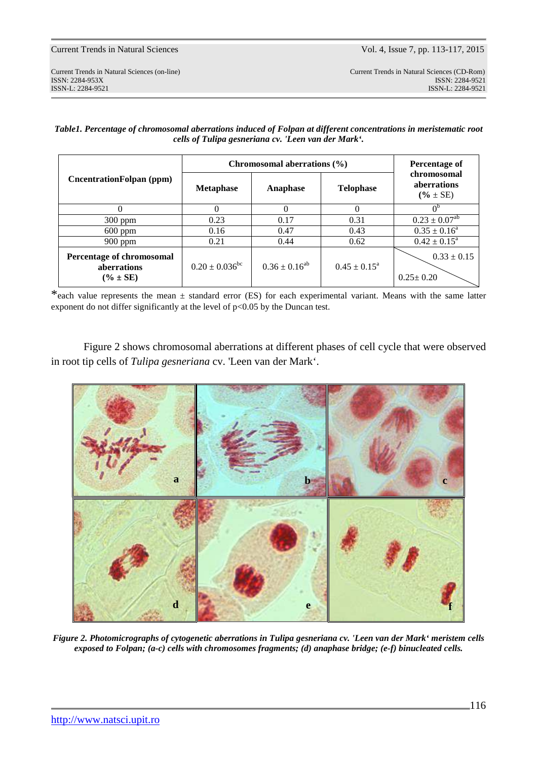*Table1. Percentage of chromosomal aberrations induced of Folpan at different concentrations in meristematic root cells of Tulipa gesneriana cv. 'Leen van der Mark'.*

| CncentrationFolpan (ppm)                                  | Chromosomal aberrations $(\% )$ |                      |                            | <b>Percentage of</b>                              |
|-----------------------------------------------------------|---------------------------------|----------------------|----------------------------|---------------------------------------------------|
|                                                           | <b>Metaphase</b>                | Anaphase             | <b>Telophase</b>           | chromosomal<br><i>aberrations</i><br>$(% \pm SE)$ |
|                                                           |                                 | $\Omega$             |                            |                                                   |
| $300$ ppm                                                 | 0.23                            | 0.17                 | 0.31                       | $0.23 \pm 0.07^{ab}$                              |
| $600$ ppm                                                 | 0.16                            | 0.47                 | 0.43                       | $0.35 \pm 0.16^a$                                 |
| $900$ ppm                                                 | 0.21                            | 0.44                 | 0.62                       | $0.42 \pm 0.15^a$                                 |
| Percentage of chromosomal<br>aberrations<br>$(\% \pm SE)$ | $0.20 \pm 0.036^{\rm bc}$       | $0.36 \pm 0.16^{ab}$ | $0.45 \pm 0.15^{\text{a}}$ | $0.33 \pm 0.15$<br>$0.25 \pm 0.20$                |

\*each value represents the mean  $\pm$  standard error (ES) for each experimental variant. Means with the same latter exponent do not differ significantly at the level of  $p<0.05$  by the Duncan test.

Figure 2 shows chromosomal aberrations at different phases of cell cycle that were observed in root tip cells of *Tulipa gesneriana* cv. 'Leen van der Mark'.



*Figure 2. Photomicrographs of cytogenetic aberrations in Tulipa gesneriana cv. 'Leen van der Mark' meristem cells exposed to Folpan; (a-c) cells with chromosomes fragments; (d) anaphase bridge; (e-f) binucleated cells.*